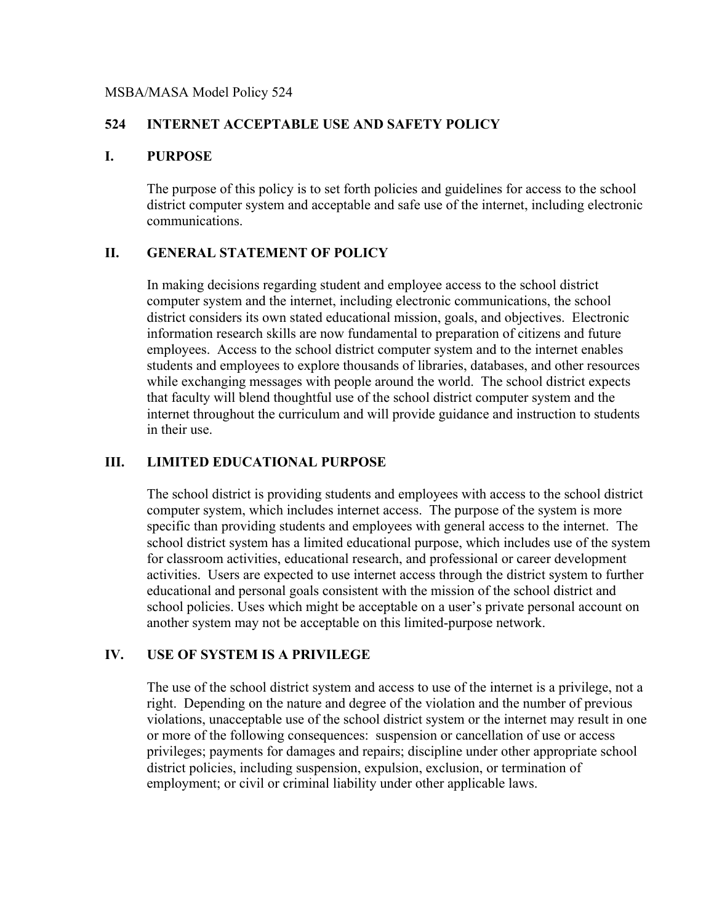#### MSBA/MASA Model Policy 524

### **524 INTERNET ACCEPTABLE USE AND SAFETY POLICY**

#### **I. PURPOSE**

The purpose of this policy is to set forth policies and guidelines for access to the school district computer system and acceptable and safe use of the internet, including electronic communications.

#### **II. GENERAL STATEMENT OF POLICY**

In making decisions regarding student and employee access to the school district computer system and the internet, including electronic communications, the school district considers its own stated educational mission, goals, and objectives. Electronic information research skills are now fundamental to preparation of citizens and future employees. Access to the school district computer system and to the internet enables students and employees to explore thousands of libraries, databases, and other resources while exchanging messages with people around the world. The school district expects that faculty will blend thoughtful use of the school district computer system and the internet throughout the curriculum and will provide guidance and instruction to students in their use.

### **III. LIMITED EDUCATIONAL PURPOSE**

The school district is providing students and employees with access to the school district computer system, which includes internet access. The purpose of the system is more specific than providing students and employees with general access to the internet. The school district system has a limited educational purpose, which includes use of the system for classroom activities, educational research, and professional or career development activities. Users are expected to use internet access through the district system to further educational and personal goals consistent with the mission of the school district and school policies. Uses which might be acceptable on a user's private personal account on another system may not be acceptable on this limited-purpose network.

#### **IV. USE OF SYSTEM IS A PRIVILEGE**

The use of the school district system and access to use of the internet is a privilege, not a right. Depending on the nature and degree of the violation and the number of previous violations, unacceptable use of the school district system or the internet may result in one or more of the following consequences: suspension or cancellation of use or access privileges; payments for damages and repairs; discipline under other appropriate school district policies, including suspension, expulsion, exclusion, or termination of employment; or civil or criminal liability under other applicable laws.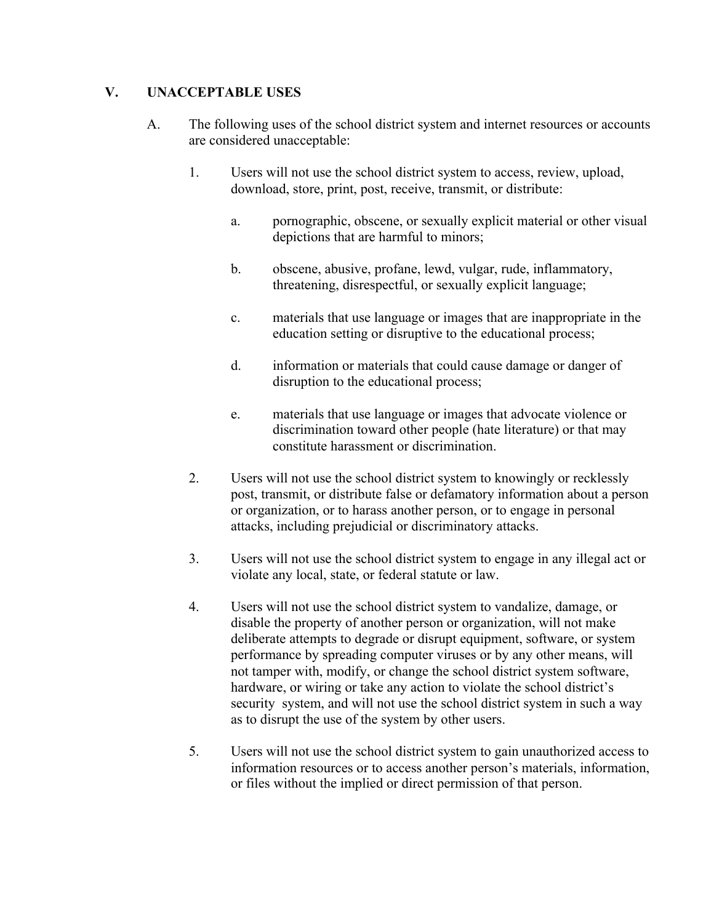## **V. UNACCEPTABLE USES**

- A. The following uses of the school district system and internet resources or accounts are considered unacceptable:
	- 1. Users will not use the school district system to access, review, upload, download, store, print, post, receive, transmit, or distribute:
		- a. pornographic, obscene, or sexually explicit material or other visual depictions that are harmful to minors;
		- b. obscene, abusive, profane, lewd, vulgar, rude, inflammatory, threatening, disrespectful, or sexually explicit language;
		- c. materials that use language or images that are inappropriate in the education setting or disruptive to the educational process;
		- d. information or materials that could cause damage or danger of disruption to the educational process;
		- e. materials that use language or images that advocate violence or discrimination toward other people (hate literature) or that may constitute harassment or discrimination.
	- 2. Users will not use the school district system to knowingly or recklessly post, transmit, or distribute false or defamatory information about a person or organization, or to harass another person, or to engage in personal attacks, including prejudicial or discriminatory attacks.
	- 3. Users will not use the school district system to engage in any illegal act or violate any local, state, or federal statute or law.
	- 4. Users will not use the school district system to vandalize, damage, or disable the property of another person or organization, will not make deliberate attempts to degrade or disrupt equipment, software, or system performance by spreading computer viruses or by any other means, will not tamper with, modify, or change the school district system software, hardware, or wiring or take any action to violate the school district's security system, and will not use the school district system in such a way as to disrupt the use of the system by other users.
	- 5. Users will not use the school district system to gain unauthorized access to information resources or to access another person's materials, information, or files without the implied or direct permission of that person.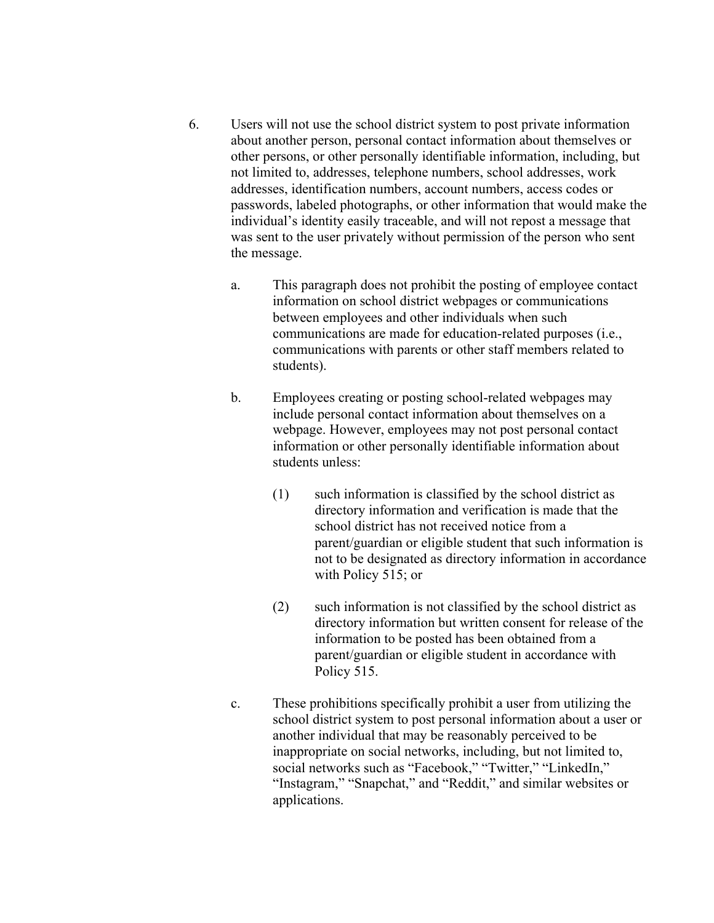- 6. Users will not use the school district system to post private information about another person, personal contact information about themselves or other persons, or other personally identifiable information, including, but not limited to, addresses, telephone numbers, school addresses, work addresses, identification numbers, account numbers, access codes or passwords, labeled photographs, or other information that would make the individual's identity easily traceable, and will not repost a message that was sent to the user privately without permission of the person who sent the message.
	- a. This paragraph does not prohibit the posting of employee contact information on school district webpages or communications between employees and other individuals when such communications are made for education-related purposes (i.e., communications with parents or other staff members related to students).
	- b. Employees creating or posting school-related webpages may include personal contact information about themselves on a webpage. However, employees may not post personal contact information or other personally identifiable information about students unless:
		- (1) such information is classified by the school district as directory information and verification is made that the school district has not received notice from a parent/guardian or eligible student that such information is not to be designated as directory information in accordance with Policy 515; or
		- (2) such information is not classified by the school district as directory information but written consent for release of the information to be posted has been obtained from a parent/guardian or eligible student in accordance with Policy 515.
	- c. These prohibitions specifically prohibit a user from utilizing the school district system to post personal information about a user or another individual that may be reasonably perceived to be inappropriate on social networks, including, but not limited to, social networks such as "Facebook," "Twitter," "LinkedIn," "Instagram," "Snapchat," and "Reddit," and similar websites or applications.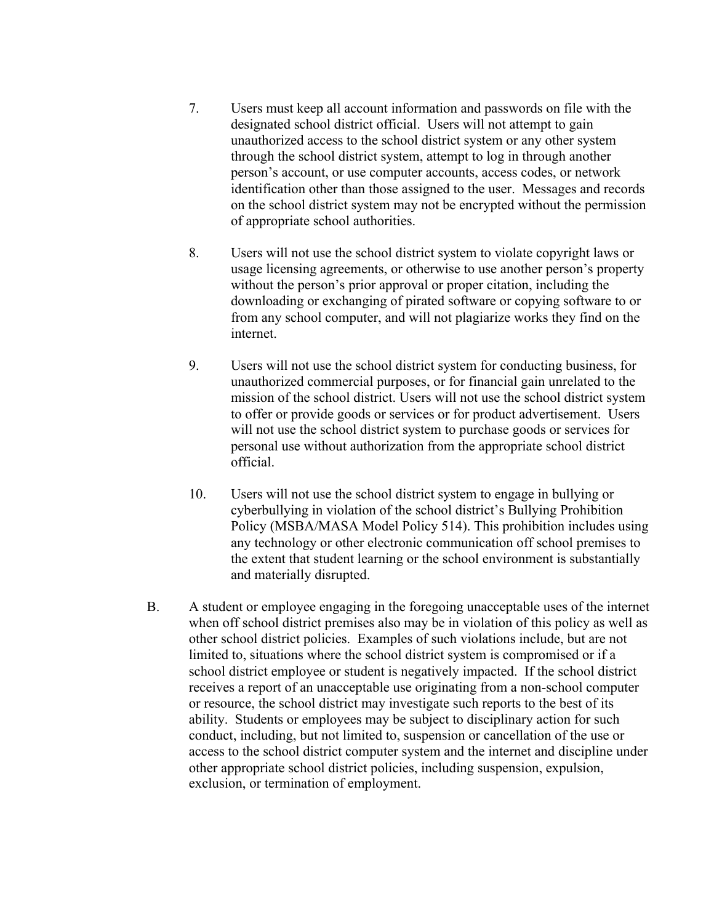- 7. Users must keep all account information and passwords on file with the designated school district official. Users will not attempt to gain unauthorized access to the school district system or any other system through the school district system, attempt to log in through another person's account, or use computer accounts, access codes, or network identification other than those assigned to the user. Messages and records on the school district system may not be encrypted without the permission of appropriate school authorities.
- 8. Users will not use the school district system to violate copyright laws or usage licensing agreements, or otherwise to use another person's property without the person's prior approval or proper citation, including the downloading or exchanging of pirated software or copying software to or from any school computer, and will not plagiarize works they find on the internet.
- 9. Users will not use the school district system for conducting business, for unauthorized commercial purposes, or for financial gain unrelated to the mission of the school district. Users will not use the school district system to offer or provide goods or services or for product advertisement. Users will not use the school district system to purchase goods or services for personal use without authorization from the appropriate school district official.
- 10. Users will not use the school district system to engage in bullying or cyberbullying in violation of the school district's Bullying Prohibition Policy (MSBA/MASA Model Policy 514). This prohibition includes using any technology or other electronic communication off school premises to the extent that student learning or the school environment is substantially and materially disrupted.
- B. A student or employee engaging in the foregoing unacceptable uses of the internet when off school district premises also may be in violation of this policy as well as other school district policies. Examples of such violations include, but are not limited to, situations where the school district system is compromised or if a school district employee or student is negatively impacted. If the school district receives a report of an unacceptable use originating from a non-school computer or resource, the school district may investigate such reports to the best of its ability. Students or employees may be subject to disciplinary action for such conduct, including, but not limited to, suspension or cancellation of the use or access to the school district computer system and the internet and discipline under other appropriate school district policies, including suspension, expulsion, exclusion, or termination of employment.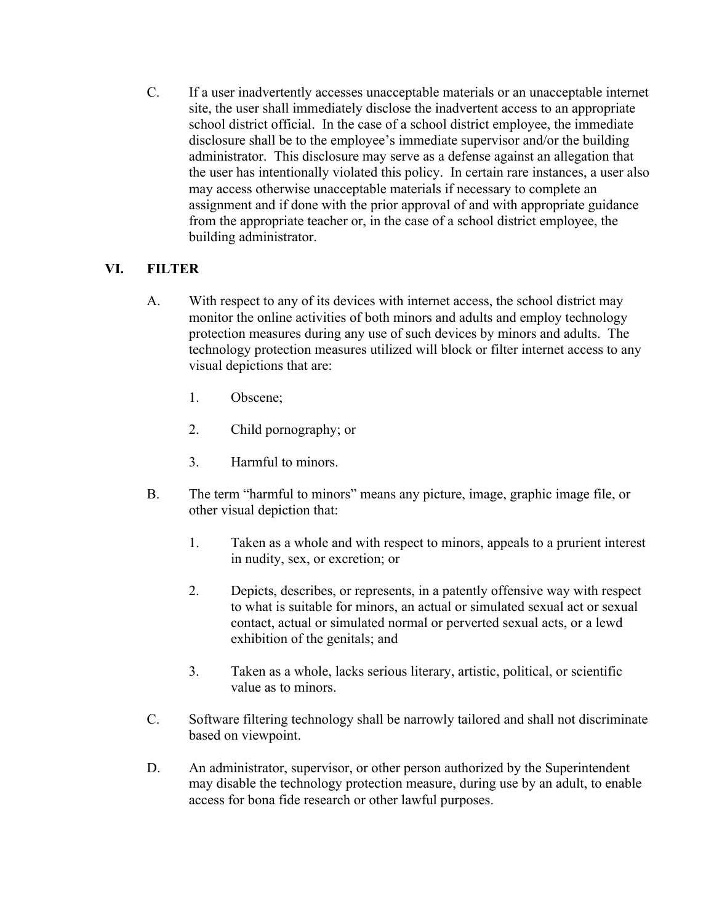C. If a user inadvertently accesses unacceptable materials or an unacceptable internet site, the user shall immediately disclose the inadvertent access to an appropriate school district official. In the case of a school district employee, the immediate disclosure shall be to the employee's immediate supervisor and/or the building administrator. This disclosure may serve as a defense against an allegation that the user has intentionally violated this policy. In certain rare instances, a user also may access otherwise unacceptable materials if necessary to complete an assignment and if done with the prior approval of and with appropriate guidance from the appropriate teacher or, in the case of a school district employee, the building administrator.

# **VI. FILTER**

- A. With respect to any of its devices with internet access, the school district may monitor the online activities of both minors and adults and employ technology protection measures during any use of such devices by minors and adults. The technology protection measures utilized will block or filter internet access to any visual depictions that are:
	- 1. Obscene;
	- 2. Child pornography; or
	- 3. Harmful to minors.
- B. The term "harmful to minors" means any picture, image, graphic image file, or other visual depiction that:
	- 1. Taken as a whole and with respect to minors, appeals to a prurient interest in nudity, sex, or excretion; or
	- 2. Depicts, describes, or represents, in a patently offensive way with respect to what is suitable for minors, an actual or simulated sexual act or sexual contact, actual or simulated normal or perverted sexual acts, or a lewd exhibition of the genitals; and
	- 3. Taken as a whole, lacks serious literary, artistic, political, or scientific value as to minors.
- C. Software filtering technology shall be narrowly tailored and shall not discriminate based on viewpoint.
- D. An administrator, supervisor, or other person authorized by the Superintendent may disable the technology protection measure, during use by an adult, to enable access for bona fide research or other lawful purposes.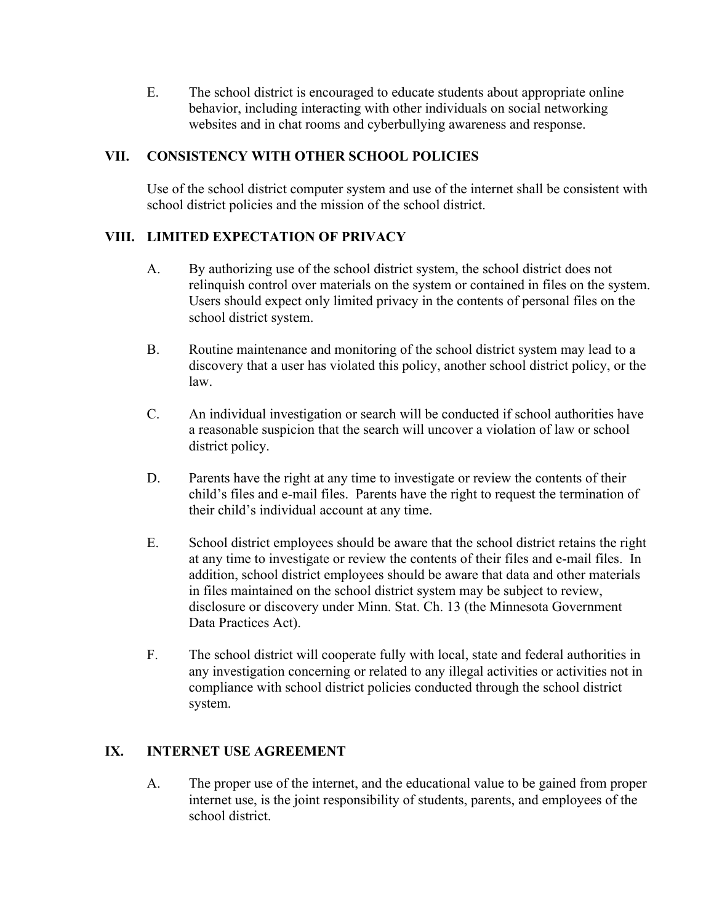E. The school district is encouraged to educate students about appropriate online behavior, including interacting with other individuals on social networking websites and in chat rooms and cyberbullying awareness and response.

## **VII. CONSISTENCY WITH OTHER SCHOOL POLICIES**

Use of the school district computer system and use of the internet shall be consistent with school district policies and the mission of the school district.

## **VIII. LIMITED EXPECTATION OF PRIVACY**

- A. By authorizing use of the school district system, the school district does not relinquish control over materials on the system or contained in files on the system. Users should expect only limited privacy in the contents of personal files on the school district system.
- B. Routine maintenance and monitoring of the school district system may lead to a discovery that a user has violated this policy, another school district policy, or the law.
- C. An individual investigation or search will be conducted if school authorities have a reasonable suspicion that the search will uncover a violation of law or school district policy.
- D. Parents have the right at any time to investigate or review the contents of their child's files and e-mail files. Parents have the right to request the termination of their child's individual account at any time.
- E. School district employees should be aware that the school district retains the right at any time to investigate or review the contents of their files and e-mail files. In addition, school district employees should be aware that data and other materials in files maintained on the school district system may be subject to review, disclosure or discovery under Minn. Stat. Ch. 13 (the Minnesota Government Data Practices Act).
- F. The school district will cooperate fully with local, state and federal authorities in any investigation concerning or related to any illegal activities or activities not in compliance with school district policies conducted through the school district system.

# **IX. INTERNET USE AGREEMENT**

A. The proper use of the internet, and the educational value to be gained from proper internet use, is the joint responsibility of students, parents, and employees of the school district.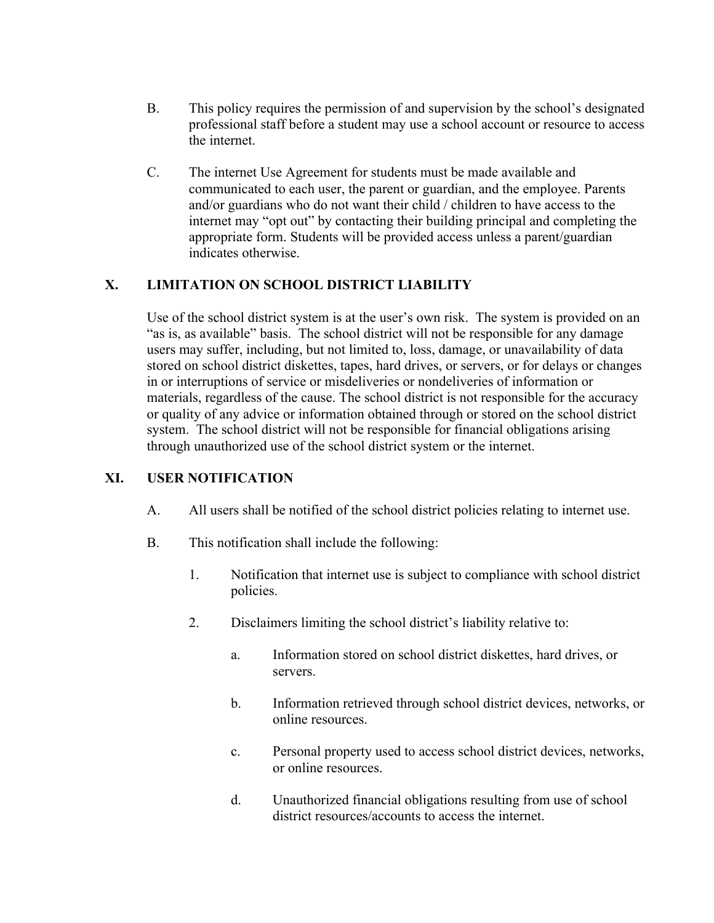- B. This policy requires the permission of and supervision by the school's designated professional staff before a student may use a school account or resource to access the internet.
- C. The internet Use Agreement for students must be made available and communicated to each user, the parent or guardian, and the employee. Parents and/or guardians who do not want their child / children to have access to the internet may "opt out" by contacting their building principal and completing the appropriate form. Students will be provided access unless a parent/guardian indicates otherwise.

# **X. LIMITATION ON SCHOOL DISTRICT LIABILITY**

Use of the school district system is at the user's own risk. The system is provided on an "as is, as available" basis. The school district will not be responsible for any damage users may suffer, including, but not limited to, loss, damage, or unavailability of data stored on school district diskettes, tapes, hard drives, or servers, or for delays or changes in or interruptions of service or misdeliveries or nondeliveries of information or materials, regardless of the cause. The school district is not responsible for the accuracy or quality of any advice or information obtained through or stored on the school district system. The school district will not be responsible for financial obligations arising through unauthorized use of the school district system or the internet.

### **XI. USER NOTIFICATION**

- A. All users shall be notified of the school district policies relating to internet use.
- B. This notification shall include the following:
	- 1. Notification that internet use is subject to compliance with school district policies.
	- 2. Disclaimers limiting the school district's liability relative to:
		- a. Information stored on school district diskettes, hard drives, or servers.
		- b. Information retrieved through school district devices, networks, or online resources.
		- c. Personal property used to access school district devices, networks, or online resources.
		- d. Unauthorized financial obligations resulting from use of school district resources/accounts to access the internet.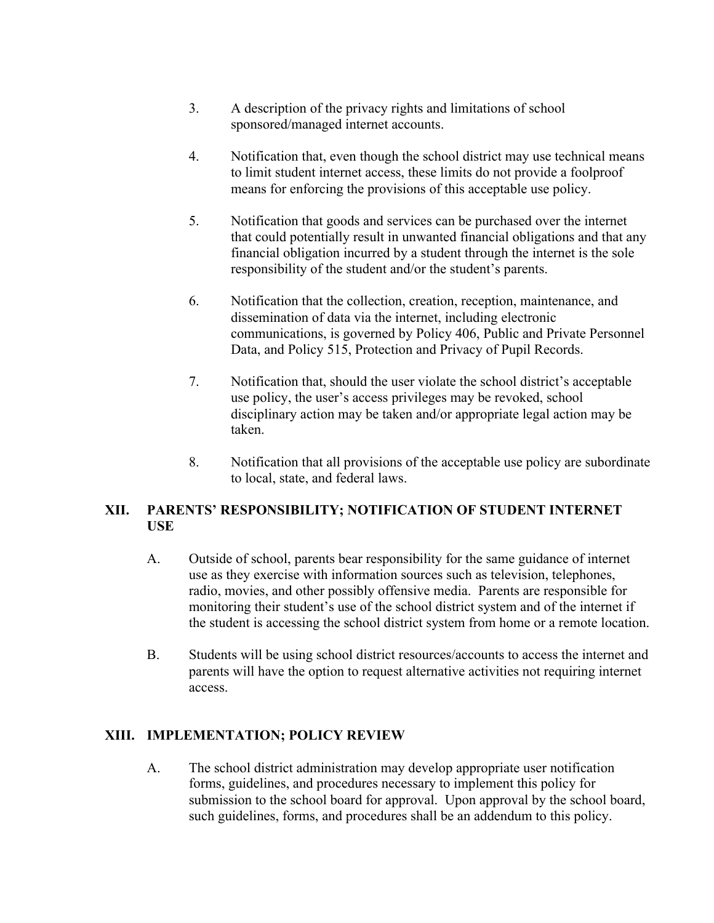- 3. A description of the privacy rights and limitations of school sponsored/managed internet accounts.
- 4. Notification that, even though the school district may use technical means to limit student internet access, these limits do not provide a foolproof means for enforcing the provisions of this acceptable use policy.
- 5. Notification that goods and services can be purchased over the internet that could potentially result in unwanted financial obligations and that any financial obligation incurred by a student through the internet is the sole responsibility of the student and/or the student's parents.
- 6. Notification that the collection, creation, reception, maintenance, and dissemination of data via the internet, including electronic communications, is governed by Policy 406, Public and Private Personnel Data, and Policy 515, Protection and Privacy of Pupil Records.
- 7. Notification that, should the user violate the school district's acceptable use policy, the user's access privileges may be revoked, school disciplinary action may be taken and/or appropriate legal action may be taken.
- 8. Notification that all provisions of the acceptable use policy are subordinate to local, state, and federal laws.

## **XII. PARENTS' RESPONSIBILITY; NOTIFICATION OF STUDENT INTERNET USE**

- A. Outside of school, parents bear responsibility for the same guidance of internet use as they exercise with information sources such as television, telephones, radio, movies, and other possibly offensive media. Parents are responsible for monitoring their student's use of the school district system and of the internet if the student is accessing the school district system from home or a remote location.
- B. Students will be using school district resources/accounts to access the internet and parents will have the option to request alternative activities not requiring internet access.

### **XIII. IMPLEMENTATION; POLICY REVIEW**

A. The school district administration may develop appropriate user notification forms, guidelines, and procedures necessary to implement this policy for submission to the school board for approval. Upon approval by the school board, such guidelines, forms, and procedures shall be an addendum to this policy.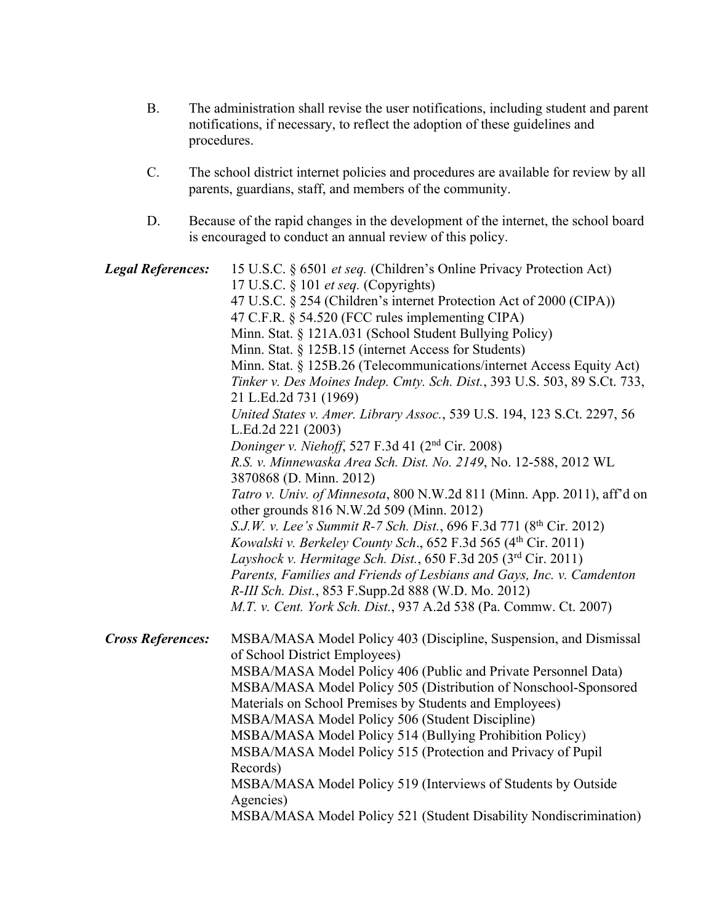- B. The administration shall revise the user notifications, including student and parent notifications, if necessary, to reflect the adoption of these guidelines and procedures.
- C. The school district internet policies and procedures are available for review by all parents, guardians, staff, and members of the community.
- D. Because of the rapid changes in the development of the internet, the school board is encouraged to conduct an annual review of this policy.

| <b>Legal References:</b> | 15 U.S.C. § 6501 et seq. (Children's Online Privacy Protection Act)<br>17 U.S.C. § 101 et seq. (Copyrights)<br>47 U.S.C. § 254 (Children's internet Protection Act of 2000 (CIPA))<br>47 C.F.R. § 54.520 (FCC rules implementing CIPA)<br>Minn. Stat. § 121A.031 (School Student Bullying Policy)<br>Minn. Stat. § 125B.15 (internet Access for Students)<br>Minn. Stat. § 125B.26 (Telecommunications/internet Access Equity Act)<br>Tinker v. Des Moines Indep. Cmty. Sch. Dist., 393 U.S. 503, 89 S.Ct. 733,<br>21 L.Ed.2d 731 (1969)<br>United States v. Amer. Library Assoc., 539 U.S. 194, 123 S.Ct. 2297, 56<br>L.Ed.2d 221 (2003)<br>Doninger v. Niehoff, 527 F.3d 41 (2 <sup>nd</sup> Cir. 2008)<br>R.S. v. Minnewaska Area Sch. Dist. No. 2149, No. 12-588, 2012 WL<br>3870868 (D. Minn. 2012)<br>Tatro v. Univ. of Minnesota, 800 N.W.2d 811 (Minn. App. 2011), aff'd on<br>other grounds 816 N.W.2d 509 (Minn. 2012)<br>S.J.W. v. Lee's Summit R-7 Sch. Dist., 696 F.3d 771 (8 <sup>th</sup> Cir. 2012) |
|--------------------------|---------------------------------------------------------------------------------------------------------------------------------------------------------------------------------------------------------------------------------------------------------------------------------------------------------------------------------------------------------------------------------------------------------------------------------------------------------------------------------------------------------------------------------------------------------------------------------------------------------------------------------------------------------------------------------------------------------------------------------------------------------------------------------------------------------------------------------------------------------------------------------------------------------------------------------------------------------------------------------------------------------------------|
|                          | Kowalski v. Berkeley County Sch., 652 F.3d 565 (4th Cir. 2011)<br>Layshock v. Hermitage Sch. Dist., 650 F.3d 205 (3rd Cir. 2011)<br>Parents, Families and Friends of Lesbians and Gays, Inc. v. Camdenton                                                                                                                                                                                                                                                                                                                                                                                                                                                                                                                                                                                                                                                                                                                                                                                                           |
|                          | R-III Sch. Dist., 853 F.Supp.2d 888 (W.D. Mo. 2012)<br>M.T. v. Cent. York Sch. Dist., 937 A.2d 538 (Pa. Commw. Ct. 2007)                                                                                                                                                                                                                                                                                                                                                                                                                                                                                                                                                                                                                                                                                                                                                                                                                                                                                            |
| <b>Cross References:</b> | MSBA/MASA Model Policy 403 (Discipline, Suspension, and Dismissal<br>of School District Employees)<br>MSBA/MASA Model Policy 406 (Public and Private Personnel Data)<br>MSBA/MASA Model Policy 505 (Distribution of Nonschool-Sponsored<br>Materials on School Premises by Students and Employees)<br>MSBA/MASA Model Policy 506 (Student Discipline)<br>MSBA/MASA Model Policy 514 (Bullying Prohibition Policy)<br>MSBA/MASA Model Policy 515 (Protection and Privacy of Pupil<br>Records)<br>MSBA/MASA Model Policy 519 (Interviews of Students by Outside<br>Agencies)<br>MSBA/MASA Model Policy 521 (Student Disability Nondiscrimination)                                                                                                                                                                                                                                                                                                                                                                     |